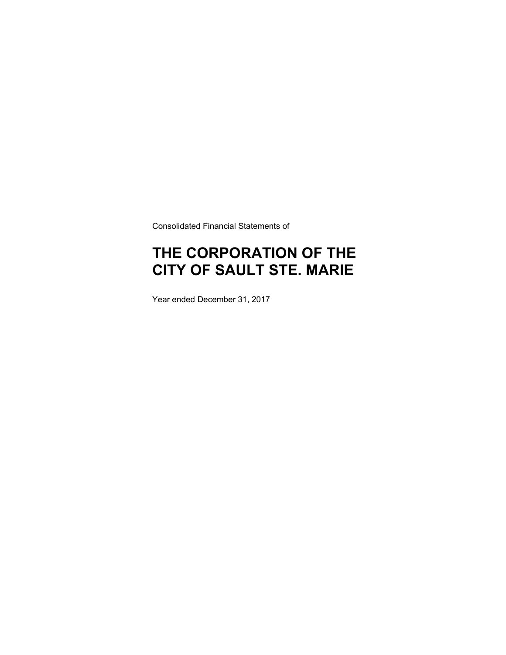Consolidated Financial Statements of

# **THE CORPORATION OF THE CITY OF SAULT STE. MARIE**

Year ended December 31, 2017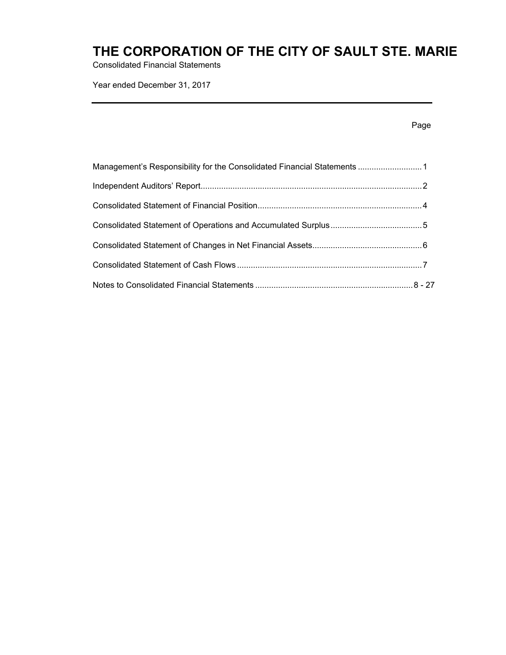Consolidated Financial Statements

Year ended December 31, 2017

| Management's Responsibility for the Consolidated Financial Statements 1 |  |
|-------------------------------------------------------------------------|--|
|                                                                         |  |
|                                                                         |  |
|                                                                         |  |
|                                                                         |  |
|                                                                         |  |
|                                                                         |  |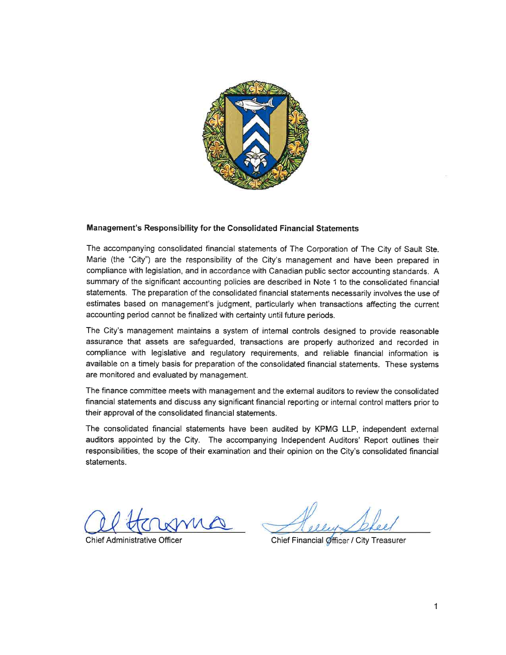

### Management's Responsibility for the Consolidated Financial Statements

The accompanying consolidated financial statements of The Corporation of The City of Sault Ste. Marie (the "City") are the responsibility of the City's management and have been prepared in compliance with legislation, and in accordance with Canadian public sector accounting standards. A summary of the significant accounting policies are described in Note 1 to the consolidated financial statements. The preparation of the consolidated financial statements necessarily involves the use of estimates based on management's judgment, particularly when transactions affecting the current accounting period cannot be finalized with certainty until future periods.

The City's management maintains a system of internal controls designed to provide reasonable assurance that assets are safeguarded, transactions are properly authorized and recorded in compliance with legislative and regulatory requirements, and reliable financial information is available on a timely basis for preparation of the consolidated financial statements. These systems are monitored and evaluated by management.

The finance committee meets with management and the external auditors to review the consolidated financial statements and discuss any significant financial reporting or internal control matters prior to their approval of the consolidated financial statements.

The consolidated financial statements have been audited by KPMG LLP, independent external auditors appointed by the City. The accompanying Independent Auditors' Report outlines their responsibilities, the scope of their examination and their opinion on the City's consolidated financial statements.

**Chief Administrative Officer** 

Chief Financial Officer / City Treasurer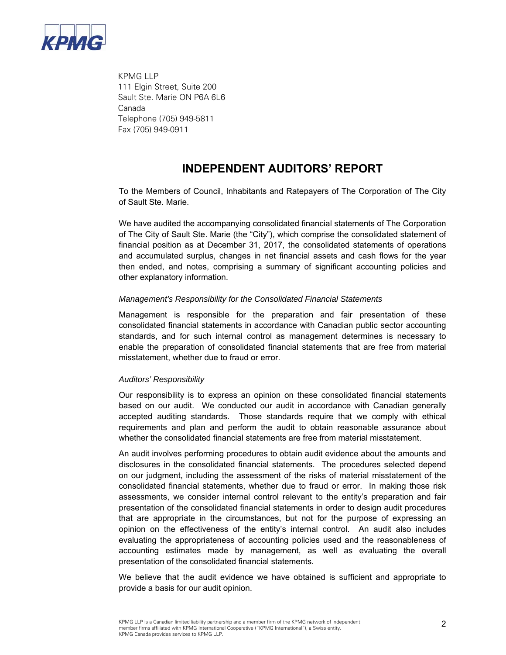

 KPMG LLP 111 Elgin Street, Suite 200 Sault Ste. Marie ON P6A 6L6 Canada Telephone (705) 949-5811 Fax (705) 949-0911

### **INDEPENDENT AUDITORS' REPORT**

To the Members of Council, Inhabitants and Ratepayers of The Corporation of The City of Sault Ste. Marie.

We have audited the accompanying consolidated financial statements of The Corporation of The City of Sault Ste. Marie (the "City"), which comprise the consolidated statement of financial position as at December 31, 2017, the consolidated statements of operations and accumulated surplus, changes in net financial assets and cash flows for the year then ended, and notes, comprising a summary of significant accounting policies and other explanatory information.

### *Management's Responsibility for the Consolidated Financial Statements*

Management is responsible for the preparation and fair presentation of these consolidated financial statements in accordance with Canadian public sector accounting standards, and for such internal control as management determines is necessary to enable the preparation of consolidated financial statements that are free from material misstatement, whether due to fraud or error.

### *Auditors' Responsibility*

Our responsibility is to express an opinion on these consolidated financial statements based on our audit. We conducted our audit in accordance with Canadian generally accepted auditing standards. Those standards require that we comply with ethical requirements and plan and perform the audit to obtain reasonable assurance about whether the consolidated financial statements are free from material misstatement.

An audit involves performing procedures to obtain audit evidence about the amounts and disclosures in the consolidated financial statements. The procedures selected depend on our judgment, including the assessment of the risks of material misstatement of the consolidated financial statements, whether due to fraud or error. In making those risk assessments, we consider internal control relevant to the entity's preparation and fair presentation of the consolidated financial statements in order to design audit procedures that are appropriate in the circumstances, but not for the purpose of expressing an opinion on the effectiveness of the entity's internal control.An audit also includes evaluating the appropriateness of accounting policies used and the reasonableness of accounting estimates made by management, as well as evaluating the overall presentation of the consolidated financial statements.

We believe that the audit evidence we have obtained is sufficient and appropriate to provide a basis for our audit opinion.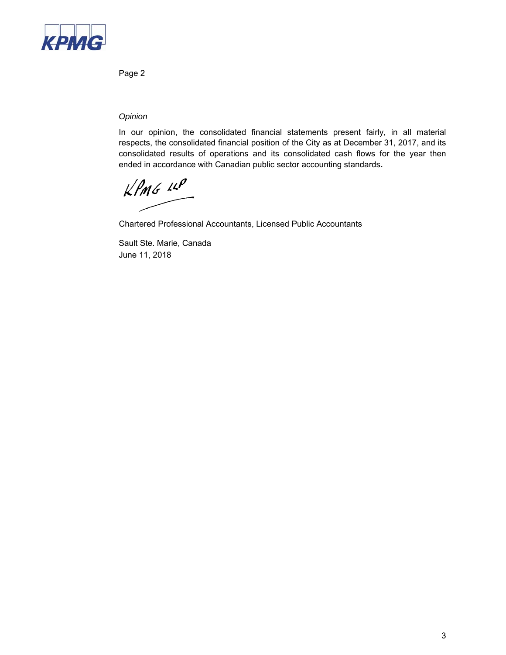

Page 2

### *Opinion*

In our opinion, the consolidated financial statements present fairly, in all material respects, the consolidated financial position of the City as at December 31, 2017, and its consolidated results of operations and its consolidated cash flows for the year then ended in accordance with Canadian public sector accounting standards**.** 

 $KPMG$  14P

Chartered Professional Accountants, Licensed Public Accountants

Sault Ste. Marie, Canada June 11, 2018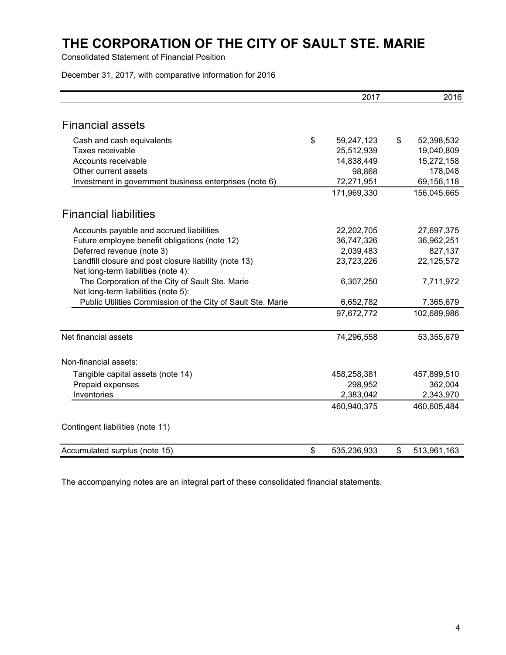Consolidated Statement of Financial Position

December 31, 2017, with comparative information for 2016

|                                                                                              | 2017              | 2016              |
|----------------------------------------------------------------------------------------------|-------------------|-------------------|
|                                                                                              |                   |                   |
| <b>Financial assets</b>                                                                      |                   |                   |
| Cash and cash equivalents                                                                    | \$<br>59,247,123  | \$<br>52,398,532  |
| Taxes receivable                                                                             | 25,512,939        | 19,040,809        |
| Accounts receivable                                                                          | 14,838,449        | 15,272,158        |
| Other current assets                                                                         | 98,868            | 178,048           |
| Investment in government business enterprises (note 6)                                       | 72,271,951        | 69,156,118        |
|                                                                                              | 171,969,330       | 156,045,665       |
| <b>Financial liabilities</b>                                                                 |                   |                   |
| Accounts payable and accrued liabilities                                                     | 22,202,705        | 27,697,375        |
| Future employee benefit obligations (note 12)                                                | 36,747,326        | 36,962,251        |
| Deferred revenue (note 3)                                                                    | 2,039,483         | 827,137           |
| Landfill closure and post closure liability (note 13)<br>Net long-term liabilities (note 4): | 23,723,226        | 22,125,572        |
| The Corporation of the City of Sault Ste. Marie<br>Net long-term liabilities (note 5):       | 6,307,250         | 7,711,972         |
| Public Utilities Commission of the City of Sault Ste. Marie                                  | 6,652,782         | 7,365,679         |
|                                                                                              | 97,672,772        | 102,689,986       |
| Net financial assets                                                                         | 74,296,558        | 53,355,679        |
| Non-financial assets:                                                                        |                   |                   |
| Tangible capital assets (note 14)                                                            | 458,258,381       | 457,899,510       |
| Prepaid expenses                                                                             | 298,952           | 362,004           |
| Inventories                                                                                  | 2,383,042         | 2,343,970         |
|                                                                                              | 460,940,375       | 460,605,484       |
| Contingent liabilities (note 11)                                                             |                   |                   |
| Accumulated surplus (note 15)                                                                | \$<br>535,236,933 | \$<br>513,961,163 |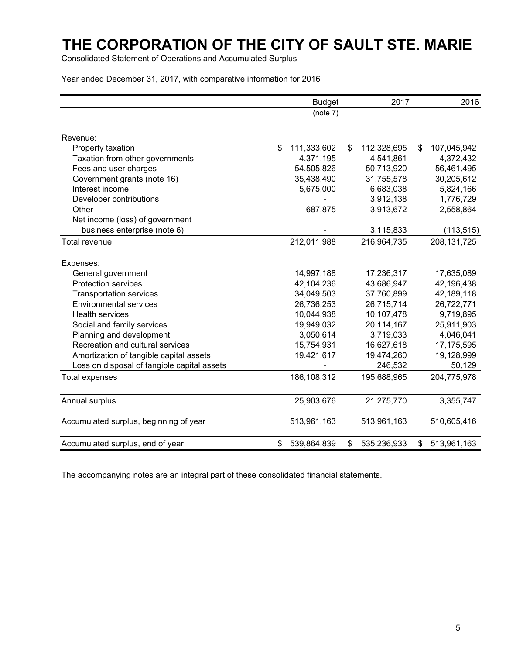Consolidated Statement of Operations and Accumulated Surplus

Year ended December 31, 2017, with comparative information for 2016

|                                             | <b>Budget</b>     |    | 2017        |    |               |
|---------------------------------------------|-------------------|----|-------------|----|---------------|
|                                             | (note 7)          |    |             |    |               |
| Revenue:                                    |                   |    |             |    |               |
| Property taxation                           | \$<br>111,333,602 | \$ | 112,328,695 | \$ | 107,045,942   |
| Taxation from other governments             | 4,371,195         |    | 4,541,861   |    | 4,372,432     |
| Fees and user charges                       | 54,505,826        |    | 50,713,920  |    | 56,461,495    |
| Government grants (note 16)                 | 35,438,490        |    | 31,755,578  |    | 30,205,612    |
| Interest income                             | 5,675,000         |    | 6,683,038   |    | 5,824,166     |
| Developer contributions                     |                   |    | 3,912,138   |    | 1,776,729     |
| Other                                       | 687,875           |    | 3,913,672   |    | 2,558,864     |
| Net income (loss) of government             |                   |    |             |    |               |
| business enterprise (note 6)                |                   |    | 3,115,833   |    | (113, 515)    |
| Total revenue                               | 212,011,988       |    | 216,964,735 |    | 208, 131, 725 |
| Expenses:                                   |                   |    |             |    |               |
| General government                          | 14,997,188        |    | 17,236,317  |    | 17,635,089    |
| <b>Protection services</b>                  | 42,104,236        |    | 43,686,947  |    | 42,196,438    |
| <b>Transportation services</b>              | 34,049,503        |    | 37,760,899  |    | 42,189,118    |
| <b>Environmental services</b>               | 26,736,253        |    | 26,715,714  |    | 26,722,771    |
| <b>Health services</b>                      | 10,044,938        |    | 10,107,478  |    | 9,719,895     |
| Social and family services                  | 19,949,032        |    | 20,114,167  |    | 25,911,903    |
| Planning and development                    | 3,050,614         |    | 3,719,033   |    | 4,046,041     |
| Recreation and cultural services            | 15,754,931        |    | 16,627,618  |    | 17,175,595    |
| Amortization of tangible capital assets     | 19,421,617        |    | 19,474,260  |    | 19,128,999    |
| Loss on disposal of tangible capital assets |                   |    | 246,532     |    | 50,129        |
| Total expenses                              | 186,108,312       |    | 195,688,965 |    | 204,775,978   |
| Annual surplus                              | 25,903,676        |    | 21,275,770  |    | 3,355,747     |
| Accumulated surplus, beginning of year      | 513,961,163       |    | 513,961,163 |    | 510,605,416   |
| Accumulated surplus, end of year            | \$<br>539,864,839 | \$ | 535,236,933 | \$ | 513,961,163   |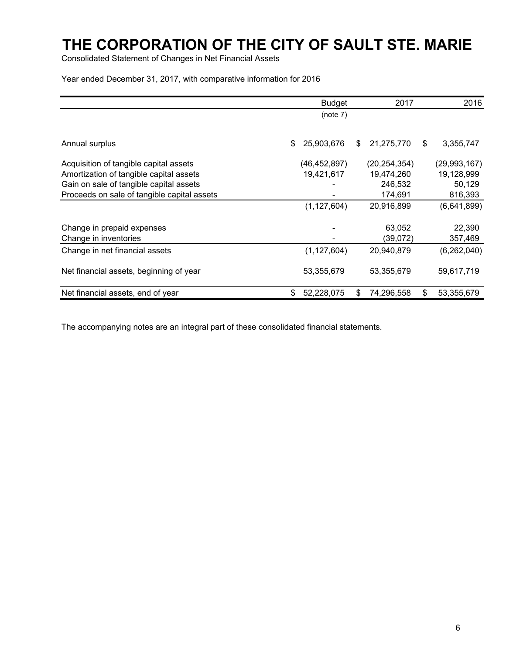Consolidated Statement of Changes in Net Financial Assets

Year ended December 31, 2017, with comparative information for 2016

|                                             | <b>Budget</b>    | 2017             | 2016             |
|---------------------------------------------|------------------|------------------|------------------|
|                                             | (note 7)         |                  |                  |
| Annual surplus                              | 25,903,676<br>\$ | 21,275,770<br>\$ | 3,355,747<br>\$  |
| Acquisition of tangible capital assets      | (46,452,897)     | (20, 254, 354)   | (29,993,167)     |
| Amortization of tangible capital assets     | 19,421,617       | 19,474,260       | 19,128,999       |
| Gain on sale of tangible capital assets     |                  | 246,532          | 50,129           |
| Proceeds on sale of tangible capital assets |                  | 174,691          | 816,393          |
|                                             | (1, 127, 604)    | 20,916,899       | (6,641,899)      |
| Change in prepaid expenses                  |                  | 63,052           | 22,390           |
| Change in inventories                       |                  | (39,072)         | 357,469          |
| Change in net financial assets              | (1, 127, 604)    | 20,940,879       | (6,262,040)      |
| Net financial assets, beginning of year     | 53,355,679       | 53,355,679       | 59,617,719       |
| Net financial assets, end of year           | 52,228,075<br>\$ | \$<br>74,296,558 | \$<br>53,355,679 |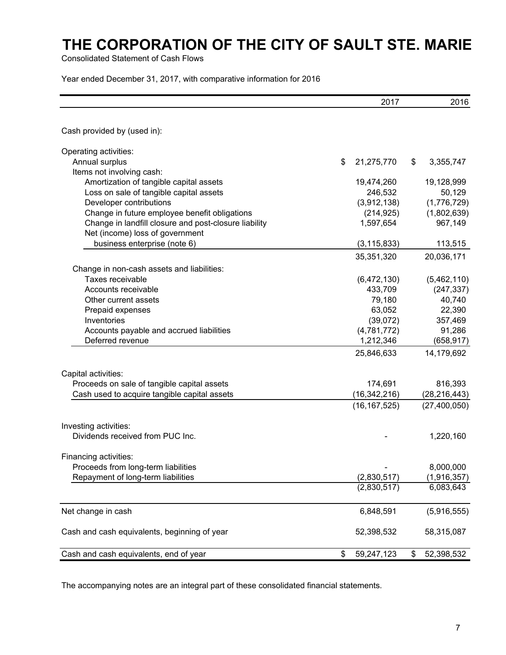Consolidated Statement of Cash Flows

Year ended December 31, 2017, with comparative information for 2016

|                                                       | 2017             | 2016             |
|-------------------------------------------------------|------------------|------------------|
|                                                       |                  |                  |
| Cash provided by (used in):                           |                  |                  |
| Operating activities:                                 |                  |                  |
| Annual surplus                                        | \$<br>21,275,770 | \$<br>3,355,747  |
| Items not involving cash:                             |                  |                  |
| Amortization of tangible capital assets               | 19,474,260       | 19,128,999       |
| Loss on sale of tangible capital assets               | 246,532          | 50,129           |
| Developer contributions                               | (3,912,138)      | (1,776,729)      |
| Change in future employee benefit obligations         | (214, 925)       | (1,802,639)      |
| Change in landfill closure and post-closure liability | 1,597,654        | 967,149          |
| Net (income) loss of government                       |                  |                  |
| business enterprise (note 6)                          | (3, 115, 833)    | 113,515          |
|                                                       | 35,351,320       | 20,036,171       |
| Change in non-cash assets and liabilities:            |                  |                  |
| Taxes receivable                                      | (6,472,130)      | (5,462,110)      |
| Accounts receivable                                   | 433,709          | (247, 337)       |
| Other current assets                                  | 79,180           | 40,740           |
| Prepaid expenses                                      | 63,052           | 22,390           |
| Inventories                                           | (39,072)         | 357,469          |
| Accounts payable and accrued liabilities              | (4,781,772)      | 91,286           |
| Deferred revenue                                      | 1,212,346        | (658, 917)       |
|                                                       | 25,846,633       | 14,179,692       |
| Capital activities:                                   |                  |                  |
| Proceeds on sale of tangible capital assets           | 174,691          | 816,393          |
| Cash used to acquire tangible capital assets          | (16, 342, 216)   | (28, 216, 443)   |
|                                                       | (16, 167, 525)   | (27, 400, 050)   |
| Investing activities:                                 |                  |                  |
| Dividends received from PUC Inc.                      |                  | 1,220,160        |
| Financing activities:                                 |                  |                  |
| Proceeds from long-term liabilities                   |                  | 8,000,000        |
| Repayment of long-term liabilities                    | (2,830,517)      | (1,916,357)      |
|                                                       | (2,830,517)      | 6,083,643        |
| Net change in cash                                    | 6,848,591        | (5,916,555)      |
| Cash and cash equivalents, beginning of year          | 52,398,532       | 58,315,087       |
| Cash and cash equivalents, end of year                | \$<br>59,247,123 | \$<br>52,398,532 |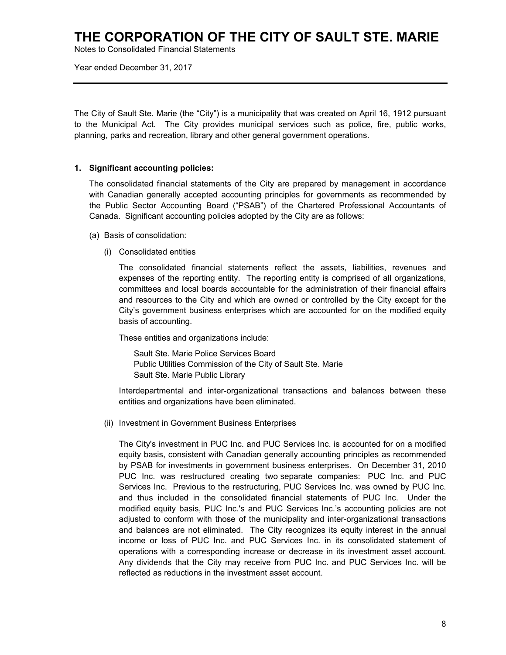Notes to Consolidated Financial Statements

Year ended December 31, 2017

The City of Sault Ste. Marie (the "City") is a municipality that was created on April 16, 1912 pursuant to the Municipal Act. The City provides municipal services such as police, fire, public works, planning, parks and recreation, library and other general government operations.

### **1. Significant accounting policies:**

The consolidated financial statements of the City are prepared by management in accordance with Canadian generally accepted accounting principles for governments as recommended by the Public Sector Accounting Board ("PSAB") of the Chartered Professional Accountants of Canada. Significant accounting policies adopted by the City are as follows:

- (a) Basis of consolidation:
	- (i) Consolidated entities

 The consolidated financial statements reflect the assets, liabilities, revenues and expenses of the reporting entity. The reporting entity is comprised of all organizations, committees and local boards accountable for the administration of their financial affairs and resources to the City and which are owned or controlled by the City except for the City's government business enterprises which are accounted for on the modified equity basis of accounting.

These entities and organizations include:

 Sault Ste. Marie Police Services Board Public Utilities Commission of the City of Sault Ste. Marie Sault Ste. Marie Public Library

 Interdepartmental and inter-organizational transactions and balances between these entities and organizations have been eliminated.

(ii) Investment in Government Business Enterprises

The City's investment in PUC Inc. and PUC Services Inc. is accounted for on a modified equity basis, consistent with Canadian generally accounting principles as recommended by PSAB for investments in government business enterprises. On December 31, 2010 PUC Inc. was restructured creating two separate companies: PUC Inc. and PUC Services Inc. Previous to the restructuring, PUC Services Inc. was owned by PUC Inc. and thus included in the consolidated financial statements of PUC Inc. Under the modified equity basis, PUC Inc.'s and PUC Services Inc.'s accounting policies are not adjusted to conform with those of the municipality and inter-organizational transactions and balances are not eliminated. The City recognizes its equity interest in the annual income or loss of PUC Inc. and PUC Services Inc. in its consolidated statement of operations with a corresponding increase or decrease in its investment asset account. Any dividends that the City may receive from PUC Inc. and PUC Services Inc. will be reflected as reductions in the investment asset account.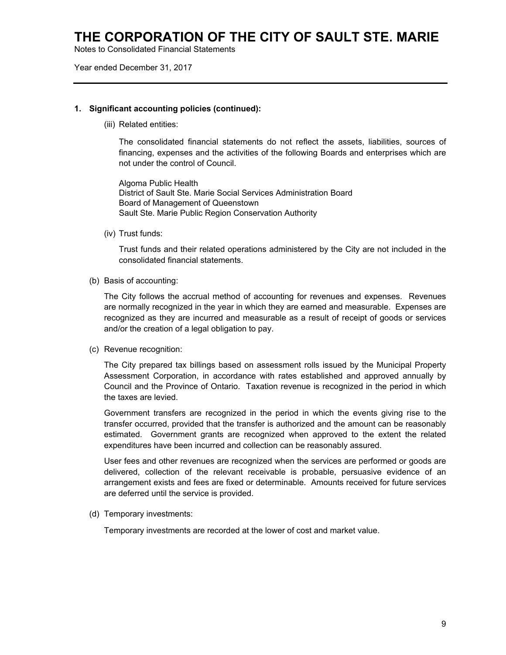Notes to Consolidated Financial Statements

Year ended December 31, 2017

#### **1. Significant accounting policies (continued):**

(iii) Related entities:

 The consolidated financial statements do not reflect the assets, liabilities, sources of financing, expenses and the activities of the following Boards and enterprises which are not under the control of Council.

 Algoma Public Health District of Sault Ste. Marie Social Services Administration Board Board of Management of Queenstown Sault Ste. Marie Public Region Conservation Authority

(iv) Trust funds:

Trust funds and their related operations administered by the City are not included in the consolidated financial statements.

(b) Basis of accounting:

The City follows the accrual method of accounting for revenues and expenses. Revenues are normally recognized in the year in which they are earned and measurable. Expenses are recognized as they are incurred and measurable as a result of receipt of goods or services and/or the creation of a legal obligation to pay.

(c) Revenue recognition:

The City prepared tax billings based on assessment rolls issued by the Municipal Property Assessment Corporation, in accordance with rates established and approved annually by Council and the Province of Ontario. Taxation revenue is recognized in the period in which the taxes are levied.

Government transfers are recognized in the period in which the events giving rise to the transfer occurred, provided that the transfer is authorized and the amount can be reasonably estimated. Government grants are recognized when approved to the extent the related expenditures have been incurred and collection can be reasonably assured.

User fees and other revenues are recognized when the services are performed or goods are delivered, collection of the relevant receivable is probable, persuasive evidence of an arrangement exists and fees are fixed or determinable. Amounts received for future services are deferred until the service is provided.

(d) Temporary investments:

Temporary investments are recorded at the lower of cost and market value.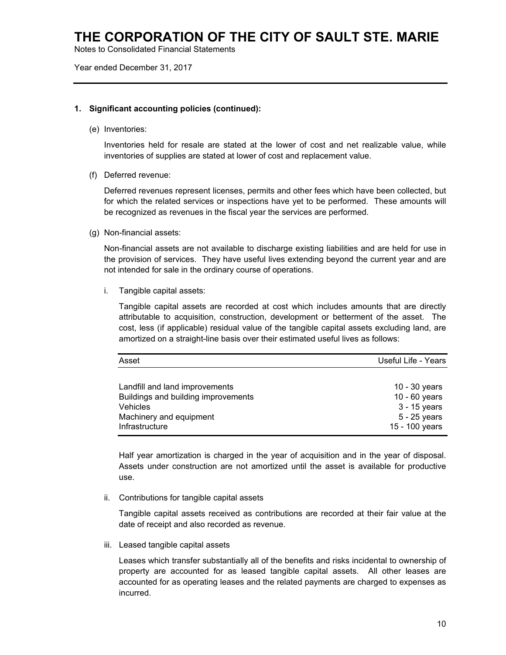Notes to Consolidated Financial Statements

Year ended December 31, 2017

#### **1. Significant accounting policies (continued):**

(e) Inventories:

Inventories held for resale are stated at the lower of cost and net realizable value, while inventories of supplies are stated at lower of cost and replacement value.

(f) Deferred revenue:

Deferred revenues represent licenses, permits and other fees which have been collected, but for which the related services or inspections have yet to be performed. These amounts will be recognized as revenues in the fiscal year the services are performed.

(g) Non-financial assets:

 Non-financial assets are not available to discharge existing liabilities and are held for use in the provision of services. They have useful lives extending beyond the current year and are not intended for sale in the ordinary course of operations.

i. Tangible capital assets:

Tangible capital assets are recorded at cost which includes amounts that are directly attributable to acquisition, construction, development or betterment of the asset. The cost, less (if applicable) residual value of the tangible capital assets excluding land, are amortized on a straight-line basis over their estimated useful lives as follows:

| Asset                               | Useful Life - Years |
|-------------------------------------|---------------------|
|                                     |                     |
| Landfill and land improvements      | $10 - 30$ years     |
| Buildings and building improvements | 10 - 60 years       |
| Vehicles                            | 3 - 15 years        |
| Machinery and equipment             | 5 - 25 years        |
| Infrastructure                      | 15 - 100 years      |

Half year amortization is charged in the year of acquisition and in the year of disposal. Assets under construction are not amortized until the asset is available for productive use.

ii. Contributions for tangible capital assets

Tangible capital assets received as contributions are recorded at their fair value at the date of receipt and also recorded as revenue.

iii. Leased tangible capital assets

Leases which transfer substantially all of the benefits and risks incidental to ownership of property are accounted for as leased tangible capital assets. All other leases are accounted for as operating leases and the related payments are charged to expenses as incurred.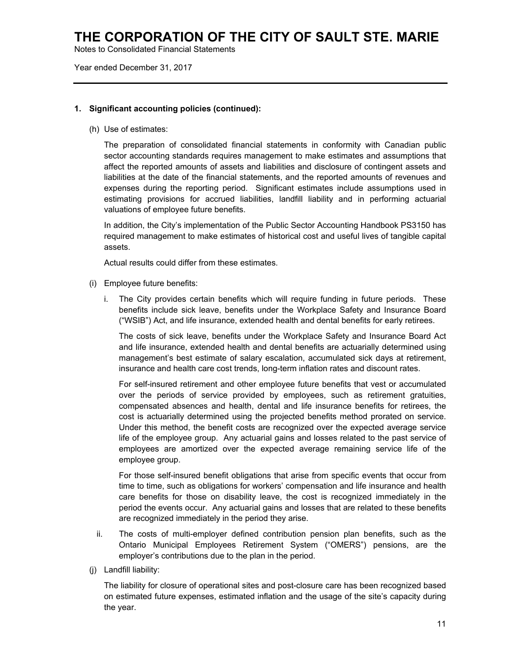Notes to Consolidated Financial Statements

Year ended December 31, 2017

### **1. Significant accounting policies (continued):**

(h) Use of estimates:

The preparation of consolidated financial statements in conformity with Canadian public sector accounting standards requires management to make estimates and assumptions that affect the reported amounts of assets and liabilities and disclosure of contingent assets and liabilities at the date of the financial statements, and the reported amounts of revenues and expenses during the reporting period. Significant estimates include assumptions used in estimating provisions for accrued liabilities, landfill liability and in performing actuarial valuations of employee future benefits.

In addition, the City's implementation of the Public Sector Accounting Handbook PS3150 has required management to make estimates of historical cost and useful lives of tangible capital assets.

Actual results could differ from these estimates.

- (i) Employee future benefits:
	- i. The City provides certain benefits which will require funding in future periods. These benefits include sick leave, benefits under the Workplace Safety and Insurance Board ("WSIB") Act, and life insurance, extended health and dental benefits for early retirees.

 The costs of sick leave, benefits under the Workplace Safety and Insurance Board Act and life insurance, extended health and dental benefits are actuarially determined using management's best estimate of salary escalation, accumulated sick days at retirement, insurance and health care cost trends, long-term inflation rates and discount rates.

 For self-insured retirement and other employee future benefits that vest or accumulated over the periods of service provided by employees, such as retirement gratuities, compensated absences and health, dental and life insurance benefits for retirees, the cost is actuarially determined using the projected benefits method prorated on service. Under this method, the benefit costs are recognized over the expected average service life of the employee group. Any actuarial gains and losses related to the past service of employees are amortized over the expected average remaining service life of the employee group.

 For those self-insured benefit obligations that arise from specific events that occur from time to time, such as obligations for workers' compensation and life insurance and health care benefits for those on disability leave, the cost is recognized immediately in the period the events occur. Any actuarial gains and losses that are related to these benefits are recognized immediately in the period they arise.

- ii. The costs of multi-employer defined contribution pension plan benefits, such as the Ontario Municipal Employees Retirement System ("OMERS") pensions, are the employer's contributions due to the plan in the period.
- (j) Landfill liability:

The liability for closure of operational sites and post-closure care has been recognized based on estimated future expenses, estimated inflation and the usage of the site's capacity during the year.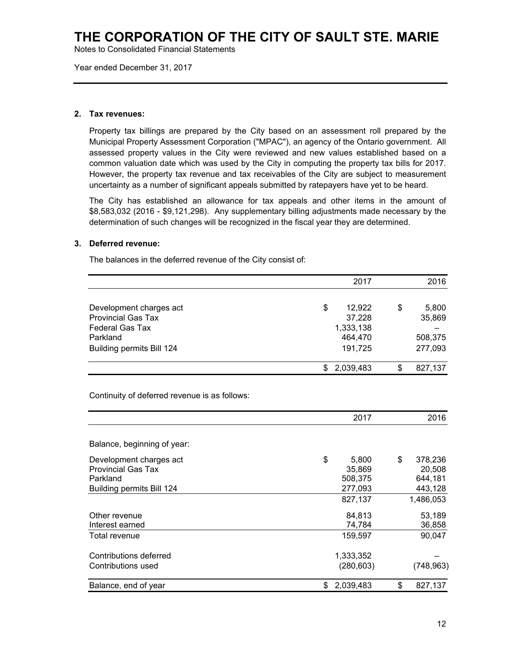Notes to Consolidated Financial Statements

Year ended December 31, 2017

### **2. Tax revenues:**

Property tax billings are prepared by the City based on an assessment roll prepared by the Municipal Property Assessment Corporation ("MPAC"), an agency of the Ontario government. All assessed property values in the City were reviewed and new values established based on a common valuation date which was used by the City in computing the property tax bills for 2017. However, the property tax revenue and tax receivables of the City are subject to measurement uncertainty as a number of significant appeals submitted by ratepayers have yet to be heard.

The City has established an allowance for tax appeals and other items in the amount of \$8,583,032 (2016 - \$9,121,298). Any supplementary billing adjustments made necessary by the determination of such changes will be recognized in the fiscal year they are determined.

#### **3. Deferred revenue:**

The balances in the deferred revenue of the City consist of:

|                                               | 2017         | 2016          |
|-----------------------------------------------|--------------|---------------|
| Development charges act                       | \$<br>12,922 | \$<br>5,800   |
| <b>Provincial Gas Tax</b>                     | 37,228       | 35,869        |
| <b>Federal Gas Tax</b>                        | 1,333,138    |               |
| Parkland                                      | 464,470      | 508,375       |
| Building permits Bill 124                     | 191,725      | 277,093       |
|                                               | \$2,039,483  | \$<br>827,137 |
| Continuity of deferred revenue is as follows: |              |               |
|                                               | 2017         | 2016          |
| Balance, beginning of year:                   |              |               |

| Balance, end of year      | 2,039,483   | \$<br>827,137 |
|---------------------------|-------------|---------------|
| Contributions used        | (280, 603)  | (748, 963)    |
| Contributions deferred    | 1,333,352   |               |
| Total revenue             | 159,597     | 90,047        |
| Interest earned           | 74.784      | 36,858        |
| Other revenue             | 84,813      | 53,189        |
|                           | 827,137     | 1,486,053     |
| Building permits Bill 124 | 277,093     | 443,128       |
| Parkland                  | 508,375     | 644,181       |
| <b>Provincial Gas Tax</b> | 35,869      | 20.508        |
| Development charges act   | \$<br>5,800 | \$<br>378,236 |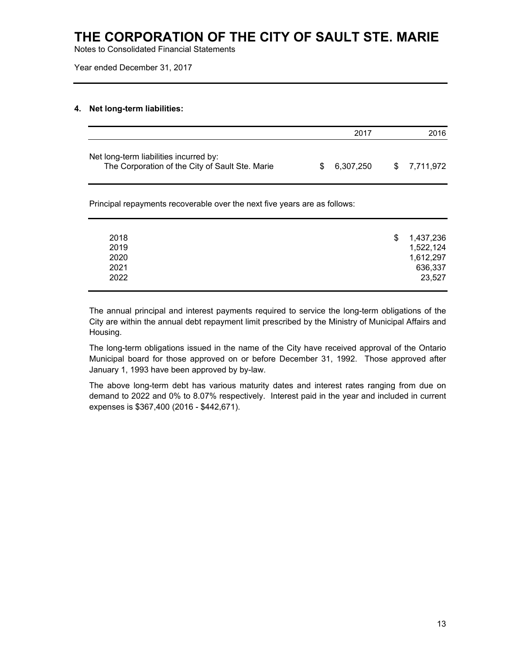Notes to Consolidated Financial Statements

Year ended December 31, 2017

### **4. Net long-term liabilities:**

|                                                                                           | 2017         | 2016         |
|-------------------------------------------------------------------------------------------|--------------|--------------|
| Net long-term liabilities incurred by:<br>The Corporation of the City of Sault Ste. Marie | \$ 6.307.250 | \$ 7.711.972 |

Principal repayments recoverable over the next five years are as follows:

| 2018 | 1,437,236<br>S |
|------|----------------|
| 2019 | 1,522,124      |
| 2020 | 1,612,297      |
| 2021 | 636,337        |
| 2022 | 23,527         |
|      |                |

The annual principal and interest payments required to service the long-term obligations of the City are within the annual debt repayment limit prescribed by the Ministry of Municipal Affairs and Housing.

The long-term obligations issued in the name of the City have received approval of the Ontario Municipal board for those approved on or before December 31, 1992. Those approved after January 1, 1993 have been approved by by-law.

The above long-term debt has various maturity dates and interest rates ranging from due on demand to 2022 and 0% to 8.07% respectively. Interest paid in the year and included in current expenses is \$367,400 (2016 - \$442,671).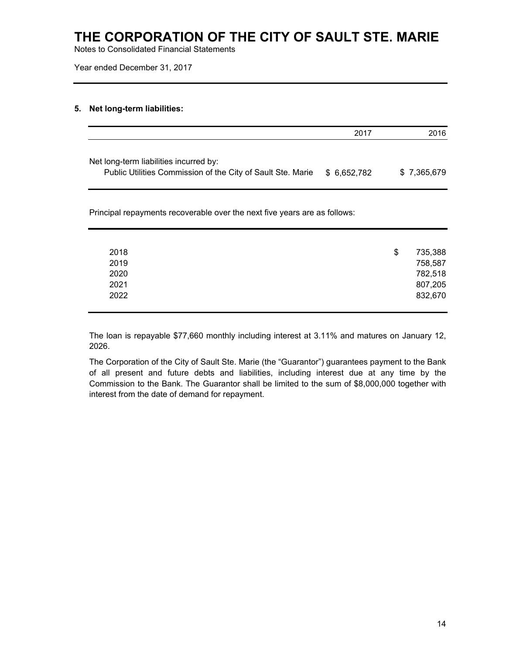Notes to Consolidated Financial Statements

Year ended December 31, 2017

### **5. Net long-term liabilities:**

|                                                                                                       | 2017        | 2016        |
|-------------------------------------------------------------------------------------------------------|-------------|-------------|
| Net long-term liabilities incurred by:<br>Public Utilities Commission of the City of Sault Ste. Marie | \$6,652,782 | \$7,365,679 |

Principal repayments recoverable over the next five years are as follows:

| 2018 | \$ | 735,388 |
|------|----|---------|
| 2019 |    | 758,587 |
| 2020 |    | 782,518 |
| 2021 |    | 807,205 |
| 2022 |    | 832,670 |
|      |    |         |

The loan is repayable \$77,660 monthly including interest at 3.11% and matures on January 12, 2026.

The Corporation of the City of Sault Ste. Marie (the "Guarantor") guarantees payment to the Bank of all present and future debts and liabilities, including interest due at any time by the Commission to the Bank. The Guarantor shall be limited to the sum of \$8,000,000 together with interest from the date of demand for repayment.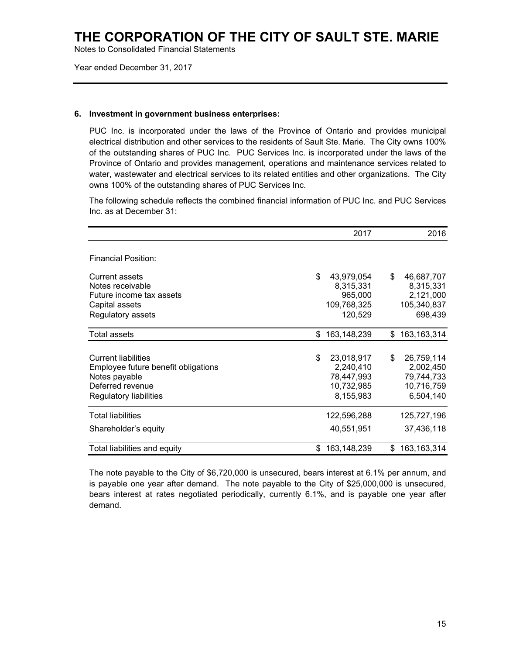Notes to Consolidated Financial Statements

Year ended December 31, 2017

#### **6. Investment in government business enterprises:**

PUC Inc. is incorporated under the laws of the Province of Ontario and provides municipal electrical distribution and other services to the residents of Sault Ste. Marie. The City owns 100% of the outstanding shares of PUC Inc. PUC Services Inc. is incorporated under the laws of the Province of Ontario and provides management, operations and maintenance services related to water, wastewater and electrical services to its related entities and other organizations. The City owns 100% of the outstanding shares of PUC Services Inc.

The following schedule reflects the combined financial information of PUC Inc. and PUC Services Inc. as at December 31:

|                                                                                                                                  |     | 2017                                                             |    | 2016                                                             |
|----------------------------------------------------------------------------------------------------------------------------------|-----|------------------------------------------------------------------|----|------------------------------------------------------------------|
| <b>Financial Position:</b>                                                                                                       |     |                                                                  |    |                                                                  |
| <b>Current assets</b><br>Notes receivable<br>Future income tax assets<br>Capital assets<br>Regulatory assets                     | \$  | 43,979,054<br>8,315,331<br>965,000<br>109,768,325<br>120,529     | \$ | 46,687,707<br>8,315,331<br>2,121,000<br>105,340,837<br>698,439   |
| <b>Total assets</b>                                                                                                              | \$  | 163,148,239                                                      | \$ | 163, 163, 314                                                    |
| <b>Current liabilities</b><br>Employee future benefit obligations<br>Notes payable<br>Deferred revenue<br>Regulatory liabilities | \$  | 23,018,917<br>2,240,410<br>78,447,993<br>10,732,985<br>8,155,983 | \$ | 26,759,114<br>2,002,450<br>79,744,733<br>10,716,759<br>6,504,140 |
| <b>Total liabilities</b>                                                                                                         |     | 122,596,288                                                      |    | 125,727,196                                                      |
| Shareholder's equity                                                                                                             |     | 40,551,951                                                       |    | 37,436,118                                                       |
| Total liabilities and equity                                                                                                     | \$. | 163,148,239                                                      | S  | 163, 163, 314                                                    |

The note payable to the City of \$6,720,000 is unsecured, bears interest at 6.1% per annum, and is payable one year after demand. The note payable to the City of \$25,000,000 is unsecured, bears interest at rates negotiated periodically, currently 6.1%, and is payable one year after demand.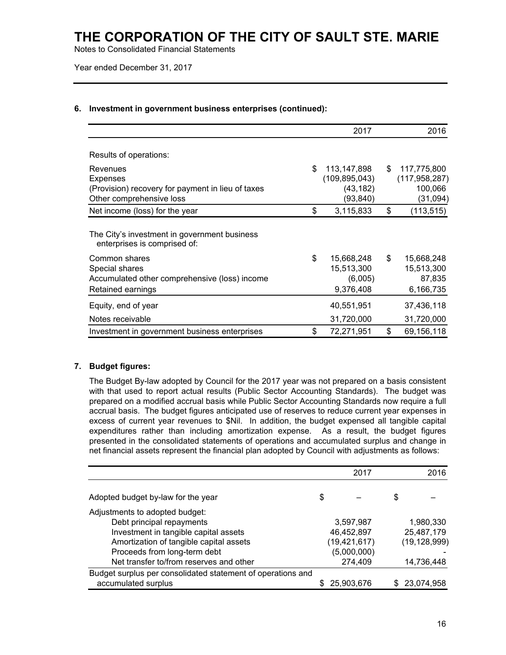Notes to Consolidated Financial Statements

Year ended December 31, 2017

|                                                                                                              | 2017                                                           | 2016                                                        |
|--------------------------------------------------------------------------------------------------------------|----------------------------------------------------------------|-------------------------------------------------------------|
| Results of operations:                                                                                       |                                                                |                                                             |
| Revenues<br><b>Expenses</b><br>(Provision) recovery for payment in lieu of taxes<br>Other comprehensive loss | \$<br>113,147,898<br>(109, 895, 043)<br>(43, 182)<br>(93, 840) | \$<br>117,775,800<br>(117, 958, 287)<br>100,066<br>(31,094) |
| Net income (loss) for the year                                                                               | \$<br>3,115,833                                                | \$<br>(113, 515)                                            |
| The City's investment in government business<br>enterprises is comprised of:                                 |                                                                |                                                             |
| Common shares<br>Special shares<br>Accumulated other comprehensive (loss) income<br>Retained earnings        | \$<br>15,668,248<br>15,513,300<br>(6,005)<br>9,376,408         | \$<br>15,668,248<br>15,513,300<br>87,835<br>6,166,735       |
| Equity, end of year                                                                                          | 40,551,951                                                     | 37,436,118                                                  |
| Notes receivable<br>Investment in government business enterprises                                            | \$<br>31,720,000<br>72,271,951                                 | \$<br>31,720,000<br>69,156,118                              |

### **6. Investment in government business enterprises (continued):**

### **7. Budget figures:**

The Budget By-law adopted by Council for the 2017 year was not prepared on a basis consistent with that used to report actual results (Public Sector Accounting Standards). The budget was prepared on a modified accrual basis while Public Sector Accounting Standards now require a full accrual basis. The budget figures anticipated use of reserves to reduce current year expenses in excess of current year revenues to \$Nil. In addition, the budget expensed all tangible capital expenditures rather than including amortization expense. As a result, the budget figures presented in the consolidated statements of operations and accumulated surplus and change in net financial assets represent the financial plan adopted by Council with adjustments as follows:

|                                                             | 2017           |    | 2016           |
|-------------------------------------------------------------|----------------|----|----------------|
| Adopted budget by-law for the year                          | \$             | \$ |                |
| Adjustments to adopted budget:                              |                |    |                |
| Debt principal repayments                                   | 3,597,987      |    | 1,980,330      |
| Investment in tangible capital assets                       | 46,452,897     |    | 25,487,179     |
| Amortization of tangible capital assets                     | (19, 421, 617) |    | (19, 128, 999) |
| Proceeds from long-term debt                                | (5,000,000)    |    |                |
| Net transfer to/from reserves and other                     | 274,409        |    | 14,736,448     |
| Budget surplus per consolidated statement of operations and |                |    |                |
| accumulated surplus                                         | 25,903,676     | S  | 23,074,958     |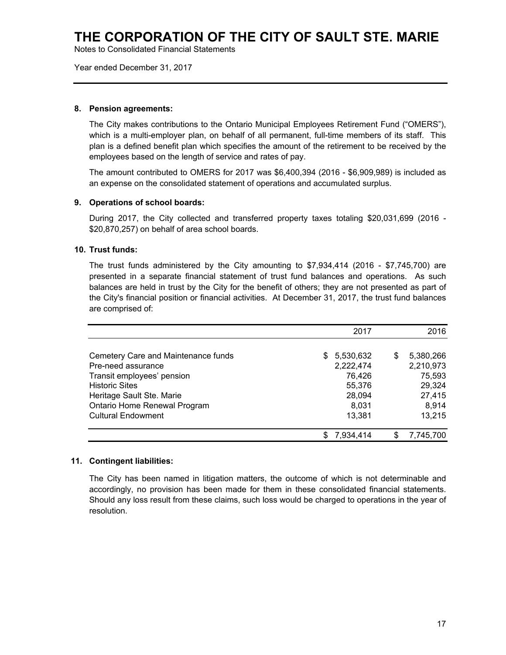Notes to Consolidated Financial Statements

Year ended December 31, 2017

#### **8. Pension agreements:**

The City makes contributions to the Ontario Municipal Employees Retirement Fund ("OMERS"), which is a multi-employer plan, on behalf of all permanent, full-time members of its staff. This plan is a defined benefit plan which specifies the amount of the retirement to be received by the employees based on the length of service and rates of pay.

The amount contributed to OMERS for 2017 was \$6,400,394 (2016 - \$6,909,989) is included as an expense on the consolidated statement of operations and accumulated surplus.

#### **9. Operations of school boards:**

During 2017, the City collected and transferred property taxes totaling \$20,031,699 (2016 - \$20,870,257) on behalf of area school boards.

### **10. Trust funds:**

The trust funds administered by the City amounting to \$7,934,414 (2016 - \$7,745,700) are presented in a separate financial statement of trust fund balances and operations. As such balances are held in trust by the City for the benefit of others; they are not presented as part of the City's financial position or financial activities. At December 31, 2017, the trust fund balances are comprised of:

|                                     | 2017                   |   | 2016      |
|-------------------------------------|------------------------|---|-----------|
| Cemetery Care and Maintenance funds | S.                     | S | 5,380,266 |
| Pre-need assurance                  | 5,530,632<br>2,222,474 |   | 2,210,973 |
| Transit employees' pension          | 76,426                 |   | 75,593    |
| <b>Historic Sites</b>               | 55,376                 |   | 29,324    |
| Heritage Sault Ste. Marie           | 28,094                 |   | 27,415    |
| Ontario Home Renewal Program        | 8,031                  |   | 8,914     |
| <b>Cultural Endowment</b>           | 13,381                 |   | 13,215    |
|                                     | 7.934.414              |   | 7.745.700 |

#### **11. Contingent liabilities:**

The City has been named in litigation matters, the outcome of which is not determinable and accordingly, no provision has been made for them in these consolidated financial statements. Should any loss result from these claims, such loss would be charged to operations in the year of resolution.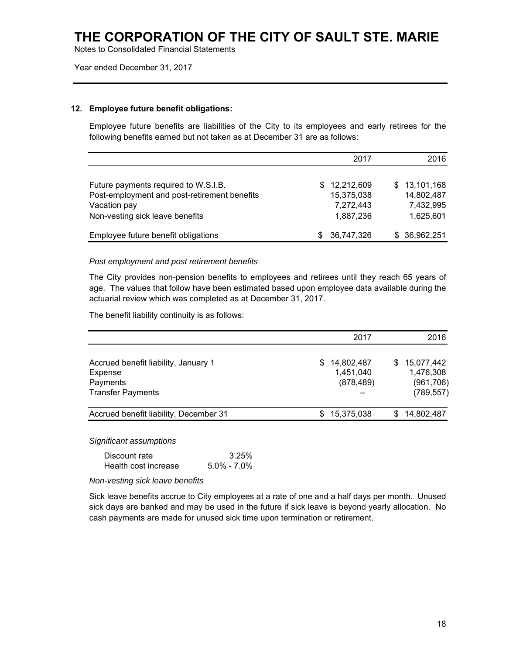Notes to Consolidated Financial Statements

Year ended December 31, 2017

#### **12. Employee future benefit obligations:**

Employee future benefits are liabilities of the City to its employees and early retirees for the following benefits earned but not taken as at December 31 are as follows:

|                                              | 2017             | 2016         |
|----------------------------------------------|------------------|--------------|
|                                              |                  |              |
| Future payments required to W.S.I.B.         | 12,212,609<br>S. | \$13,101,168 |
| Post-employment and post-retirement benefits | 15,375,038       | 14,802,487   |
| Vacation pay                                 | 7,272,443        | 7,432,995    |
| Non-vesting sick leave benefits              | 1,887,236        | 1,625,601    |
|                                              |                  |              |
| Employee future benefit obligations          | 36,747,326<br>S. | \$36,962,251 |

#### *Post employment and post retirement benefits*

The City provides non-pension benefits to employees and retirees until they reach 65 years of age. The values that follow have been estimated based upon employee data available during the actuarial review which was completed as at December 31, 2017.

The benefit liability continuity is as follows:

|                                                                                         | 2017                                       | 2016                                                      |
|-----------------------------------------------------------------------------------------|--------------------------------------------|-----------------------------------------------------------|
| Accrued benefit liability, January 1<br>Expense<br>Payments<br><b>Transfer Payments</b> | 14,802,487<br>S<br>1,451,040<br>(878, 489) | 15,077,442<br>S.<br>1,476,308<br>(961, 706)<br>(789, 557) |
| Accrued benefit liability, December 31                                                  | 15,375,038<br>S.                           | \$14,802,487                                              |

*Significant assumptions* 

| Discount rate        | 3.25%           |
|----------------------|-----------------|
| Health cost increase | $5.0\% - 7.0\%$ |

*Non-vesting sick leave benefits* 

Sick leave benefits accrue to City employees at a rate of one and a half days per month. Unused sick days are banked and may be used in the future if sick leave is beyond yearly allocation. No cash payments are made for unused sick time upon termination or retirement.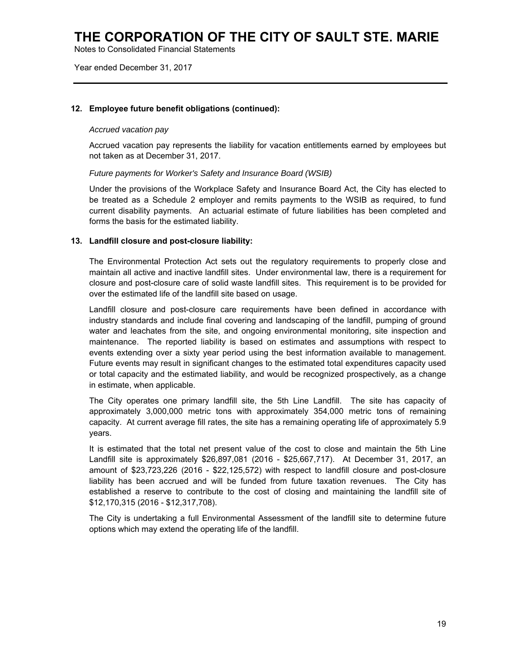Notes to Consolidated Financial Statements

Year ended December 31, 2017

### **12. Employee future benefit obligations (continued):**

#### *Accrued vacation pay*

Accrued vacation pay represents the liability for vacation entitlements earned by employees but not taken as at December 31, 2017.

#### *Future payments for Worker's Safety and Insurance Board (WSIB)*

Under the provisions of the Workplace Safety and Insurance Board Act, the City has elected to be treated as a Schedule 2 employer and remits payments to the WSIB as required, to fund current disability payments. An actuarial estimate of future liabilities has been completed and forms the basis for the estimated liability.

#### **13. Landfill closure and post-closure liability:**

The Environmental Protection Act sets out the regulatory requirements to properly close and maintain all active and inactive landfill sites. Under environmental law, there is a requirement for closure and post-closure care of solid waste landfill sites. This requirement is to be provided for over the estimated life of the landfill site based on usage.

Landfill closure and post-closure care requirements have been defined in accordance with industry standards and include final covering and landscaping of the landfill, pumping of ground water and leachates from the site, and ongoing environmental monitoring, site inspection and maintenance. The reported liability is based on estimates and assumptions with respect to events extending over a sixty year period using the best information available to management. Future events may result in significant changes to the estimated total expenditures capacity used or total capacity and the estimated liability, and would be recognized prospectively, as a change in estimate, when applicable.

The City operates one primary landfill site, the 5th Line Landfill. The site has capacity of approximately 3,000,000 metric tons with approximately 354,000 metric tons of remaining capacity. At current average fill rates, the site has a remaining operating life of approximately 5.9 years.

It is estimated that the total net present value of the cost to close and maintain the 5th Line Landfill site is approximately \$26,897,081 (2016 - \$25,667,717). At December 31, 2017, an amount of \$23,723,226 (2016 - \$22,125,572) with respect to landfill closure and post-closure liability has been accrued and will be funded from future taxation revenues. The City has established a reserve to contribute to the cost of closing and maintaining the landfill site of \$12,170,315 (2016 - \$12,317,708).

The City is undertaking a full Environmental Assessment of the landfill site to determine future options which may extend the operating life of the landfill.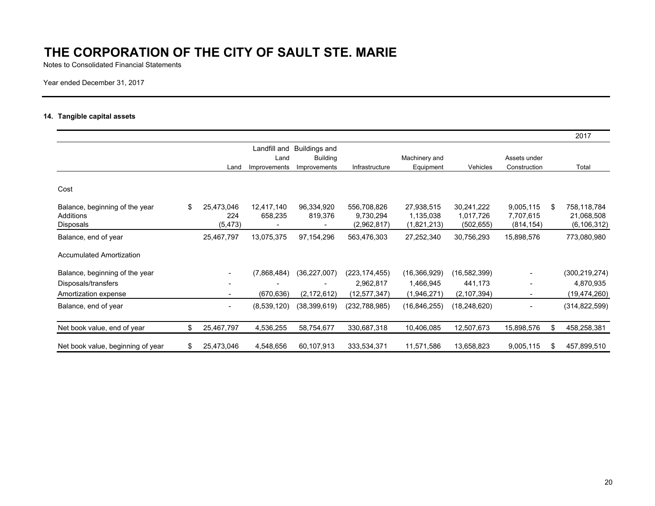Notes to Consolidated Financial Statements

Year ended December 31, 2017

### **14. Tangible capital assets**

|                                   |    |                          |              |                 |                 |                |                |              |     | 2017            |
|-----------------------------------|----|--------------------------|--------------|-----------------|-----------------|----------------|----------------|--------------|-----|-----------------|
|                                   |    |                          | Landfill and | Buildings and   |                 |                |                |              |     |                 |
|                                   |    |                          | Land         | <b>Building</b> |                 | Machinery and  |                | Assets under |     |                 |
|                                   |    | Land                     | Improvements | Improvements    | Infrastructure  | Equipment      | Vehicles       | Construction |     | Total           |
| Cost                              |    |                          |              |                 |                 |                |                |              |     |                 |
| Balance, beginning of the year    | \$ | 25,473,046               | 12,417,140   | 96,334,920      | 556,708,826     | 27,938,515     | 30,241,222     | 9,005,115    | \$. | 758,118,784     |
| Additions                         |    | 224                      | 658,235      | 819,376         | 9,730,294       | 1,135,038      | 1,017,726      | 7,707,615    |     | 21,068,508      |
| Disposals                         |    | (5, 473)                 |              |                 | (2,962,817)     | (1,821,213)    | (502, 655)     | (814, 154)   |     | (6, 106, 312)   |
| Balance, end of year              |    | 25.467,797               | 13,075,375   | 97,154,296      | 563,476,303     | 27,252,340     | 30,756,293     | 15,898,576   |     | 773,080,980     |
| <b>Accumulated Amortization</b>   |    |                          |              |                 |                 |                |                |              |     |                 |
| Balance, beginning of the year    |    |                          | (7,868,484)  | (36, 227, 007)  | (223, 174, 455) | (16, 366, 929) | (16, 582, 399) |              |     | (300, 219, 274) |
| Disposals/transfers               |    |                          |              |                 | 2,962,817       | 1,466,945      | 441,173        |              |     | 4,870,935       |
| Amortization expense              |    |                          | (670, 636)   | (2, 172, 612)   | (12,577,347)    | (1,946,271)    | (2, 107, 394)  |              |     | (19, 474, 260)  |
| Balance, end of year              |    | $\overline{\phantom{a}}$ | (8,539,120)  | (38, 399, 619)  | (232,788,985)   | (16, 846, 255) | (18, 248, 620) |              |     | (314, 822, 599) |
| Net book value, end of year       | \$ | 25,467,797               | 4,536,255    | 58,754,677      | 330,687,318     | 10,406,085     | 12,507,673     | 15,898,576   | \$  | 458,258,381     |
| Net book value, beginning of year | S  | 25.473,046               | 4,548,656    | 60,107,913      | 333,534,371     | 11,571,586     | 13,658,823     | 9,005,115    | \$  | 457,899,510     |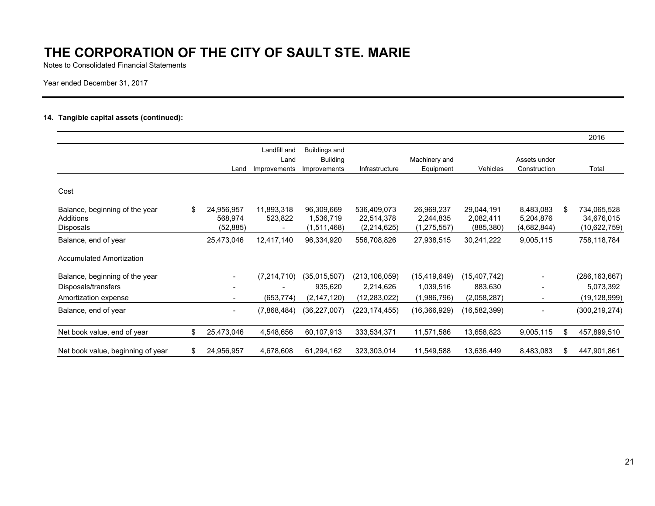Notes to Consolidated Financial Statements

Year ended December 31, 2017

### **14. Tangible capital assets (continued):**

|                                   |     |                          |               |                      |                 |                |              |              |    | 2016            |
|-----------------------------------|-----|--------------------------|---------------|----------------------|-----------------|----------------|--------------|--------------|----|-----------------|
|                                   |     |                          | Landfill and  | <b>Buildings and</b> |                 |                |              |              |    |                 |
|                                   |     |                          | Land          | <b>Building</b>      |                 | Machinery and  |              | Assets under |    |                 |
|                                   |     | Land                     | Improvements  | Improvements         | Infrastructure  | Equipment      | Vehicles     | Construction |    | Total           |
| Cost                              |     |                          |               |                      |                 |                |              |              |    |                 |
| Balance, beginning of the year    | \$  | 24,956,957               | 11,893,318    | 96,309,669           | 536,409,073     | 26,969,237     | 29,044,191   | 8,483,083    | S. | 734,065,528     |
| Additions                         |     | 568,974                  | 523,822       | 1,536,719            | 22,514,378      | 2,244,835      | 2,082,411    | 5,204,876    |    | 34,676,015      |
| Disposals                         |     | (52, 885)                |               | (1,511,468)          | (2,214,625)     | (1,275,557)    | (885, 380)   | (4,682,844)  |    | (10,622,759)    |
| Balance, end of year              |     | 25,473,046               | 12,417,140    | 96,334,920           | 556,708,826     | 27,938,515     | 30,241,222   | 9,005,115    |    | 758,118,784     |
| <b>Accumulated Amortization</b>   |     |                          |               |                      |                 |                |              |              |    |                 |
| Balance, beginning of the year    |     |                          | (7, 214, 710) | (35,015,507)         | (213, 106, 059) | (15, 419, 649) | (15,407,742) |              |    | (286, 163, 667) |
| Disposals/transfers               |     |                          |               | 935,620              | 2,214,626       | 1,039,516      | 883,630      |              |    | 5,073,392       |
| Amortization expense              |     |                          | (653, 774)    | (2, 147, 120)        | (12,283,022)    | (1,986,796)    | (2,058,287)  |              |    | (19, 128, 999)  |
| Balance, end of year              |     | $\overline{\phantom{a}}$ | (7,868,484)   | (36,227,007)         | (223, 174, 455) | (16, 366, 929) | (16,582,399) |              |    | (300, 219, 274) |
| Net book value, end of year       | \$. | 25,473,046               | 4,548,656     | 60,107,913           | 333,534,371     | 11,571,586     | 13,658,823   | 9,005,115    | S  | 457,899,510     |
| Net book value, beginning of year | \$. | 24,956,957               | 4,678,608     | 61,294,162           | 323,303,014     | 11,549,588     | 13,636,449   | 8,483,083    | S  | 447,901,861     |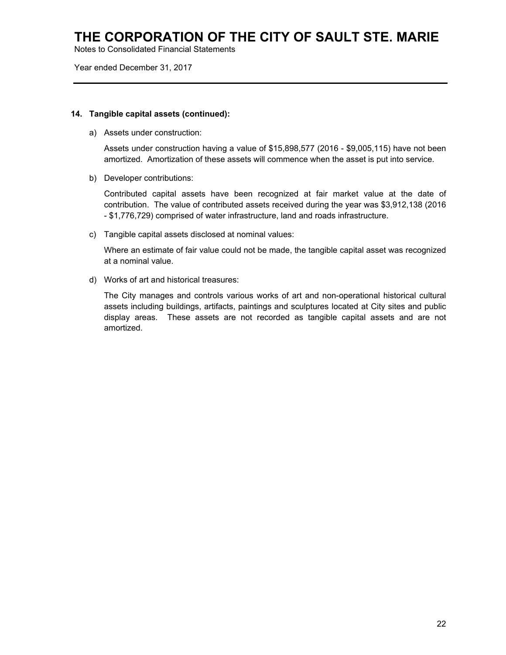Notes to Consolidated Financial Statements

Year ended December 31, 2017

### **14. Tangible capital assets (continued):**

a) Assets under construction:

Assets under construction having a value of \$15,898,577 (2016 - \$9,005,115) have not been amortized. Amortization of these assets will commence when the asset is put into service.

b) Developer contributions:

Contributed capital assets have been recognized at fair market value at the date of contribution. The value of contributed assets received during the year was \$3,912,138 (2016 - \$1,776,729) comprised of water infrastructure, land and roads infrastructure.

c) Tangible capital assets disclosed at nominal values:

Where an estimate of fair value could not be made, the tangible capital asset was recognized at a nominal value.

d) Works of art and historical treasures:

The City manages and controls various works of art and non-operational historical cultural assets including buildings, artifacts, paintings and sculptures located at City sites and public display areas. These assets are not recorded as tangible capital assets and are not amortized.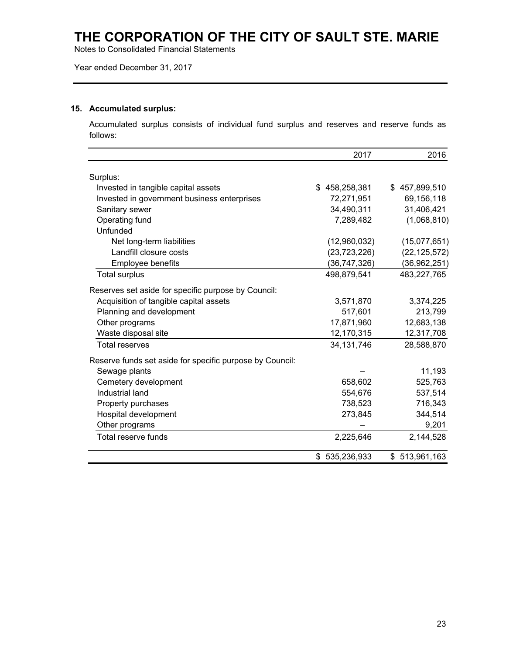Notes to Consolidated Financial Statements

Year ended December 31, 2017

### **15. Accumulated surplus:**

Accumulated surplus consists of individual fund surplus and reserves and reserve funds as follows:

|                                                          | 2017           | 2016           |
|----------------------------------------------------------|----------------|----------------|
| Surplus:                                                 |                |                |
| Invested in tangible capital assets                      | \$458,258,381  | \$457,899,510  |
| Invested in government business enterprises              | 72,271,951     | 69,156,118     |
| Sanitary sewer                                           | 34,490,311     | 31,406,421     |
| Operating fund                                           | 7,289,482      | (1,068,810)    |
| Unfunded                                                 |                |                |
| Net long-term liabilities                                | (12,960,032)   | (15,077,651)   |
| Landfill closure costs                                   | (23, 723, 226) | (22, 125, 572) |
| Employee benefits                                        | (36, 747, 326) | (36,962,251)   |
| <b>Total surplus</b>                                     | 498,879,541    | 483,227,765    |
| Reserves set aside for specific purpose by Council:      |                |                |
| Acquisition of tangible capital assets                   | 3,571,870      | 3,374,225      |
| Planning and development                                 | 517,601        | 213,799        |
| Other programs                                           | 17,871,960     | 12,683,138     |
| Waste disposal site                                      | 12,170,315     | 12,317,708     |
| <b>Total reserves</b>                                    | 34,131,746     | 28,588,870     |
| Reserve funds set aside for specific purpose by Council: |                |                |
| Sewage plants                                            |                | 11,193         |
| Cemetery development                                     | 658,602        | 525,763        |
| Industrial land                                          | 554,676        | 537,514        |
| Property purchases                                       | 738,523        | 716,343        |
| Hospital development                                     | 273,845        | 344,514        |
| Other programs                                           |                | 9,201          |
| Total reserve funds                                      | 2,225,646      | 2,144,528      |
|                                                          | \$535,236,933  | \$513,961,163  |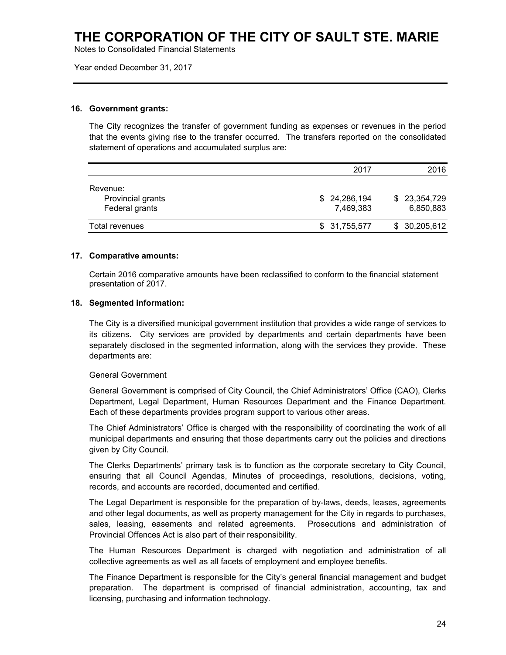Notes to Consolidated Financial Statements

Year ended December 31, 2017

#### **16. Government grants:**

The City recognizes the transfer of government funding as expenses or revenues in the period that the events giving rise to the transfer occurred. The transfers reported on the consolidated statement of operations and accumulated surplus are:

|                                                 | 2017                      | 2016                      |
|-------------------------------------------------|---------------------------|---------------------------|
| Revenue:<br>Provincial grants<br>Federal grants | \$24,286,194<br>7,469,383 | \$23,354,729<br>6,850,883 |
| Total revenues                                  | \$31,755,577              | \$30,205,612              |

#### **17. Comparative amounts:**

Certain 2016 comparative amounts have been reclassified to conform to the financial statement presentation of 2017.

#### **18. Segmented information:**

The City is a diversified municipal government institution that provides a wide range of services to its citizens. City services are provided by departments and certain departments have been separately disclosed in the segmented information, along with the services they provide. These departments are:

#### General Government

General Government is comprised of City Council, the Chief Administrators' Office (CAO), Clerks Department, Legal Department, Human Resources Department and the Finance Department. Each of these departments provides program support to various other areas.

The Chief Administrators' Office is charged with the responsibility of coordinating the work of all municipal departments and ensuring that those departments carry out the policies and directions given by City Council.

The Clerks Departments' primary task is to function as the corporate secretary to City Council, ensuring that all Council Agendas, Minutes of proceedings, resolutions, decisions, voting, records, and accounts are recorded, documented and certified.

The Legal Department is responsible for the preparation of by-laws, deeds, leases, agreements and other legal documents, as well as property management for the City in regards to purchases, sales, leasing, easements and related agreements. Prosecutions and administration of Provincial Offences Act is also part of their responsibility.

The Human Resources Department is charged with negotiation and administration of all collective agreements as well as all facets of employment and employee benefits.

The Finance Department is responsible for the City's general financial management and budget preparation. The department is comprised of financial administration, accounting, tax and licensing, purchasing and information technology.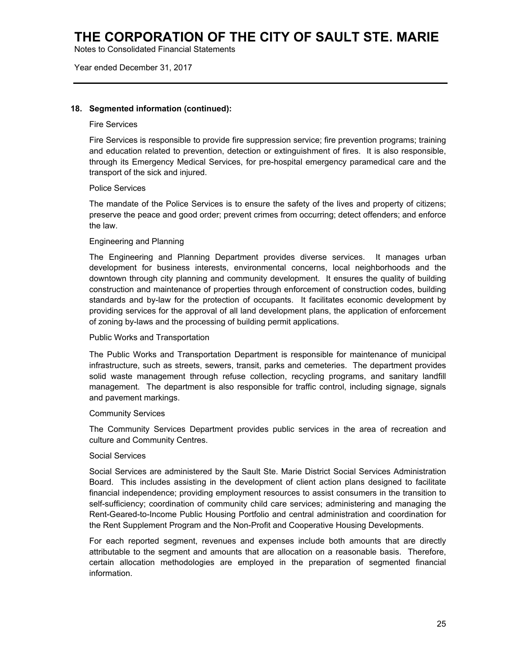Notes to Consolidated Financial Statements

Year ended December 31, 2017

### **18. Segmented information (continued):**

#### Fire Services

Fire Services is responsible to provide fire suppression service; fire prevention programs; training and education related to prevention, detection or extinguishment of fires. It is also responsible, through its Emergency Medical Services, for pre-hospital emergency paramedical care and the transport of the sick and injured.

#### Police Services

The mandate of the Police Services is to ensure the safety of the lives and property of citizens; preserve the peace and good order; prevent crimes from occurring; detect offenders; and enforce the law.

#### Engineering and Planning

The Engineering and Planning Department provides diverse services. It manages urban development for business interests, environmental concerns, local neighborhoods and the downtown through city planning and community development. It ensures the quality of building construction and maintenance of properties through enforcement of construction codes, building standards and by-law for the protection of occupants. It facilitates economic development by providing services for the approval of all land development plans, the application of enforcement of zoning by-laws and the processing of building permit applications.

#### Public Works and Transportation

The Public Works and Transportation Department is responsible for maintenance of municipal infrastructure, such as streets, sewers, transit, parks and cemeteries. The department provides solid waste management through refuse collection, recycling programs, and sanitary landfill management. The department is also responsible for traffic control, including signage, signals and pavement markings.

#### Community Services

The Community Services Department provides public services in the area of recreation and culture and Community Centres.

#### Social Services

Social Services are administered by the Sault Ste. Marie District Social Services Administration Board. This includes assisting in the development of client action plans designed to facilitate financial independence; providing employment resources to assist consumers in the transition to self-sufficiency; coordination of community child care services; administering and managing the Rent-Geared-to-Income Public Housing Portfolio and central administration and coordination for the Rent Supplement Program and the Non-Profit and Cooperative Housing Developments.

For each reported segment, revenues and expenses include both amounts that are directly attributable to the segment and amounts that are allocation on a reasonable basis. Therefore, certain allocation methodologies are employed in the preparation of segmented financial information.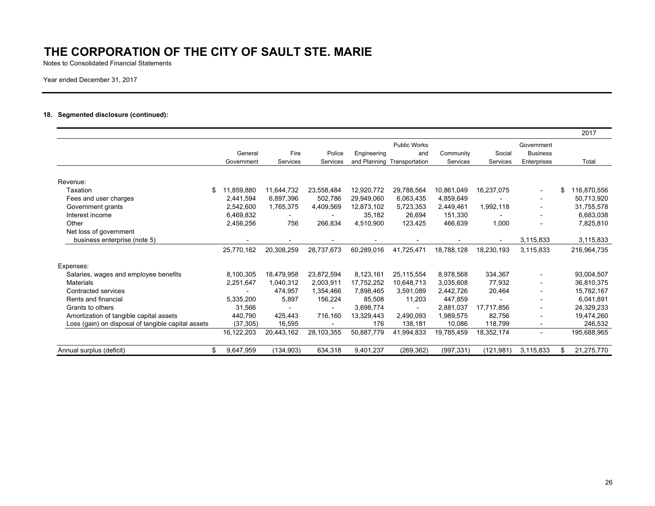Notes to Consolidated Financial Statements

Year ended December 31, 2017

#### **18. Segmented disclosure (continued):**

|                                                    |                  |            |            |             |                             |            |            |                               | 2017        |
|----------------------------------------------------|------------------|------------|------------|-------------|-----------------------------|------------|------------|-------------------------------|-------------|
|                                                    | General          | Fire       | Police     | Engineering | <b>Public Works</b><br>and  | Community  | Social     | Government<br><b>Business</b> |             |
|                                                    | Government       | Services   | Services   |             | and Planning Transportation | Services   | Services   | Enterprises                   | Total       |
|                                                    |                  |            |            |             |                             |            |            |                               |             |
| Revenue:                                           |                  |            |            |             |                             |            |            |                               |             |
| Taxation                                           | 11,859,880<br>\$ | 11,644,732 | 23,558,484 | 12,920,772  | 29,788,564                  | 10,861,049 | 16,237,075 |                               | 116,870,556 |
| Fees and user charges                              | 2,441,594        | 6,897,396  | 502,786    | 29,949,060  | 6,063,435                   | 4,859,649  |            | $\overline{\phantom{0}}$      | 50,713,920  |
| Government grants                                  | 2,542,600        | 1,765,375  | 4,409,569  | 12,873,102  | 5,723,353                   | 2,449,461  | 1,992,118  |                               | 31,755,578  |
| Interest income                                    | 6,469,832        |            |            | 35,182      | 26,694                      | 151,330    |            |                               | 6,683,038   |
| Other                                              | 2,456,256        | 756        | 266.834    | 4.510.900   | 123.425                     | 466.639    | 1,000      |                               | 7,825,810   |
| Net loss of government                             |                  |            |            |             |                             |            |            |                               |             |
| business enterprise (note 5)                       |                  |            |            |             |                             |            |            | 3,115,833                     | 3,115,833   |
|                                                    | 25,770,162       | 20,308,259 | 28,737,673 | 60,289,016  | 41.725.471                  | 18.788.128 | 18.230.193 | 3.115.833                     | 216,964,735 |
| Expenses:                                          |                  |            |            |             |                             |            |            |                               |             |
| Salaries, wages and employee benefits              | 8,100,305        | 18,479,958 | 23,872,594 | 8,123,161   | 25,115,554                  | 8,978,568  | 334,367    |                               | 93,004,507  |
| <b>Materials</b>                                   | 2.251.647        | 1,040,312  | 2,003,911  | 17,752,252  | 10.648.713                  | 3,035,608  | 77,932     |                               | 36,810,375  |
| Contracted services                                |                  | 474.957    | 1.354.466  | 7.898.465   | 3.591.089                   | 2,442,726  | 20,464     |                               | 15,782,167  |
| Rents and financial                                | 5,335,200        | 5,897      | 156,224    | 85,508      | 11,203                      | 447,859    |            |                               | 6.041.891   |
| Grants to others                                   | 31,566           |            |            | 3,698,774   |                             | 2,881,037  | 17,717,856 |                               | 24,329,233  |
| Amortization of tangible capital assets            | 440,790          | 425,443    | 716.160    | 13.329.443  | 2,490,093                   | 1,989,575  | 82,756     |                               | 19,474,260  |
| Loss (gain) on disposal of tangible capital assets | (37, 305)        | 16,595     |            | 176         | 138,181                     | 10,086     | 118,799    |                               | 246,532     |
|                                                    | 16,122,203       | 20,443,162 | 28,103,355 | 50,887,779  | 41.994.833                  | 19,785,459 | 18,352,174 |                               | 195,688,965 |
| Annual surplus (deficit)                           | 9,647,959<br>\$  | (134, 903) | 634,318    | 9,401,237   | (269, 362)                  | (997, 331) | (121, 981) | 3,115,833                     | 21,275,770  |